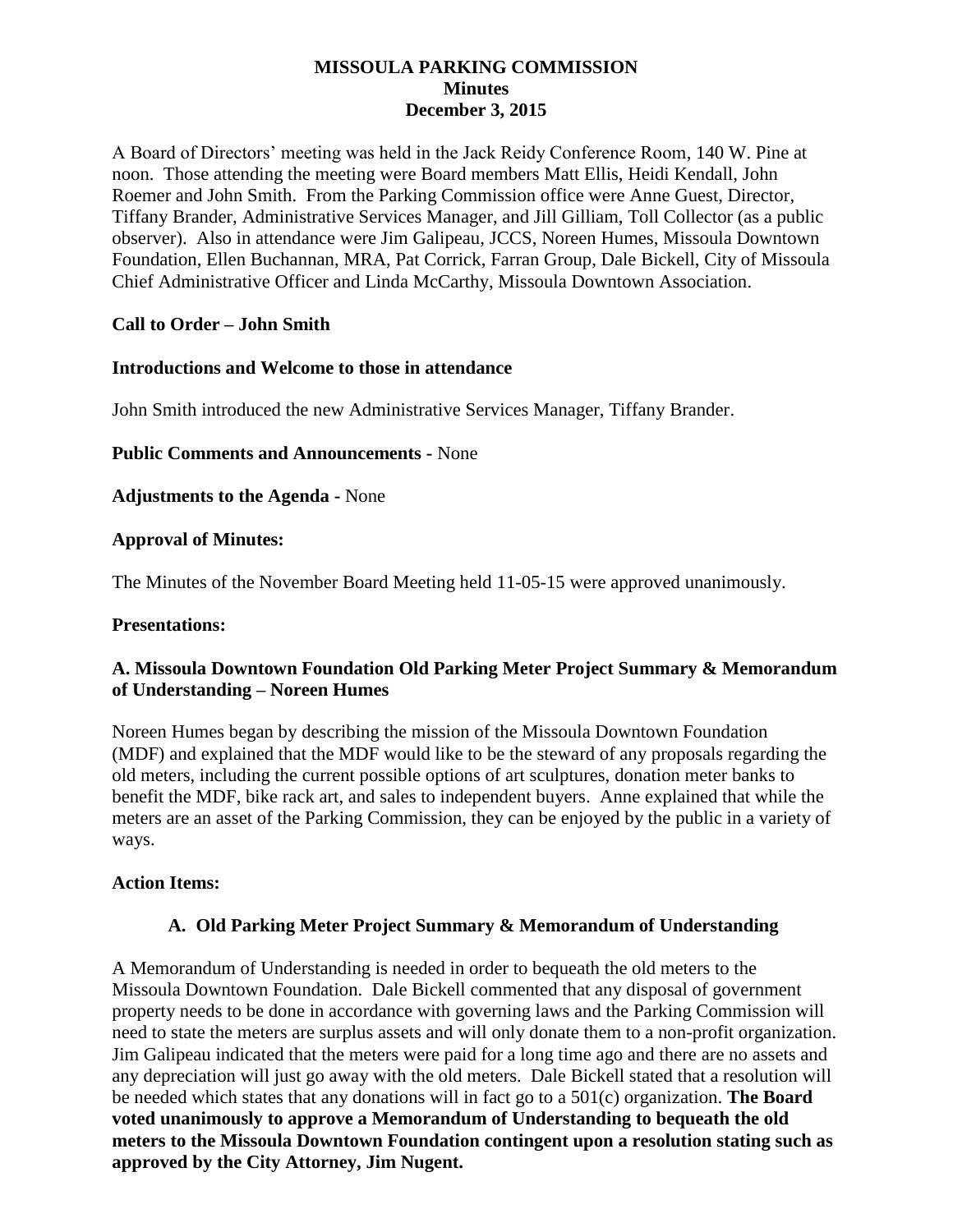### **MISSOULA PARKING COMMISSION Minutes December 3, 2015**

A Board of Directors' meeting was held in the Jack Reidy Conference Room, 140 W. Pine at noon. Those attending the meeting were Board members Matt Ellis, Heidi Kendall, John Roemer and John Smith. From the Parking Commission office were Anne Guest, Director, Tiffany Brander, Administrative Services Manager, and Jill Gilliam, Toll Collector (as a public observer). Also in attendance were Jim Galipeau, JCCS, Noreen Humes, Missoula Downtown Foundation, Ellen Buchannan, MRA, Pat Corrick, Farran Group, Dale Bickell, City of Missoula Chief Administrative Officer and Linda McCarthy, Missoula Downtown Association.

# **Call to Order – John Smith**

#### **Introductions and Welcome to those in attendance**

John Smith introduced the new Administrative Services Manager, Tiffany Brander.

**Public Comments and Announcements -** None

**Adjustments to the Agenda -** None

## **Approval of Minutes:**

The Minutes of the November Board Meeting held 11-05-15 were approved unanimously.

#### **Presentations:**

## **A. Missoula Downtown Foundation Old Parking Meter Project Summary & Memorandum of Understanding – Noreen Humes**

Noreen Humes began by describing the mission of the Missoula Downtown Foundation (MDF) and explained that the MDF would like to be the steward of any proposals regarding the old meters, including the current possible options of art sculptures, donation meter banks to benefit the MDF, bike rack art, and sales to independent buyers. Anne explained that while the meters are an asset of the Parking Commission, they can be enjoyed by the public in a variety of ways.

#### **Action Items:**

#### **A. Old Parking Meter Project Summary & Memorandum of Understanding**

A Memorandum of Understanding is needed in order to bequeath the old meters to the Missoula Downtown Foundation. Dale Bickell commented that any disposal of government property needs to be done in accordance with governing laws and the Parking Commission will need to state the meters are surplus assets and will only donate them to a non-profit organization. Jim Galipeau indicated that the meters were paid for a long time ago and there are no assets and any depreciation will just go away with the old meters. Dale Bickell stated that a resolution will be needed which states that any donations will in fact go to a 501(c) organization. **The Board voted unanimously to approve a Memorandum of Understanding to bequeath the old meters to the Missoula Downtown Foundation contingent upon a resolution stating such as approved by the City Attorney, Jim Nugent.**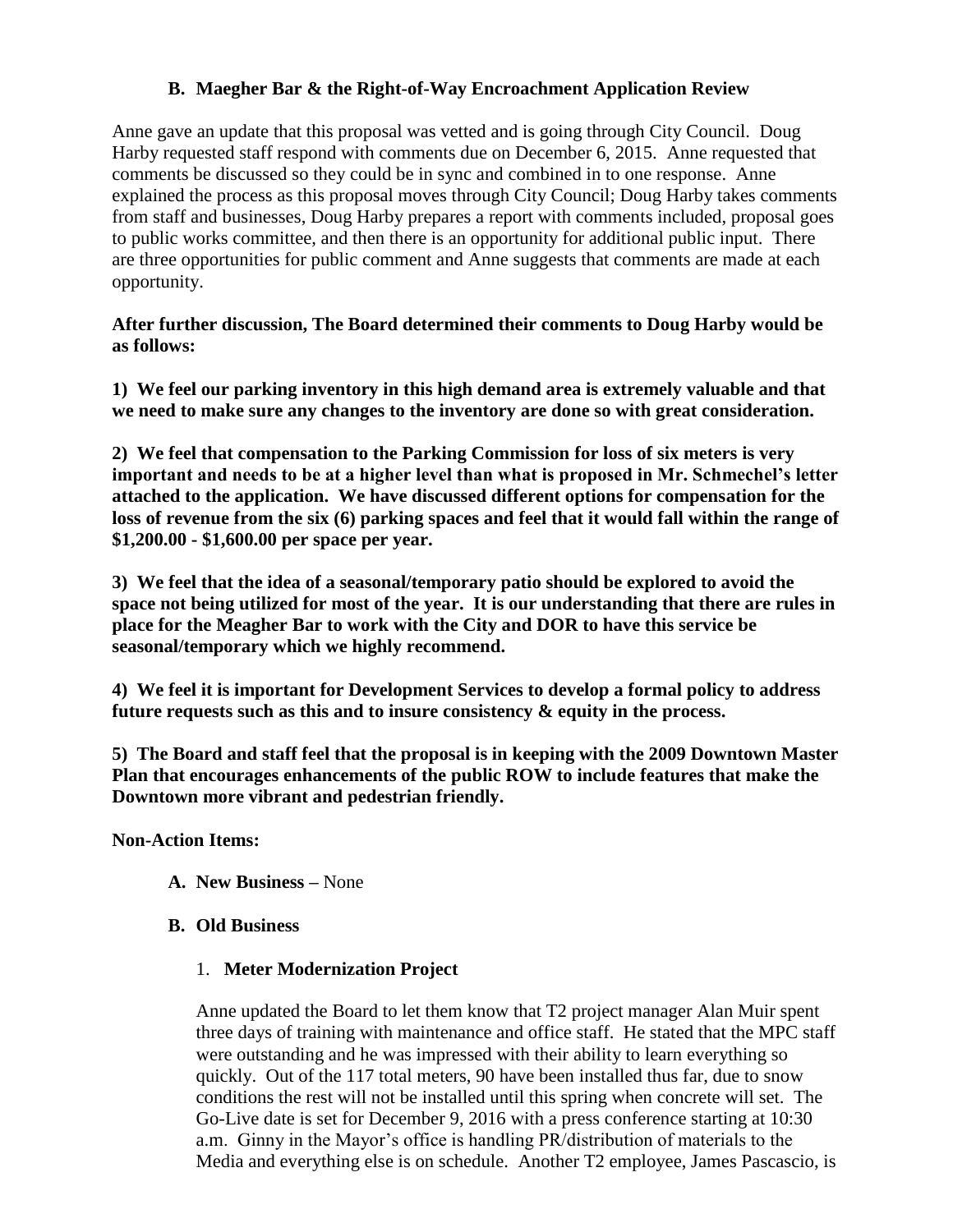# **B. Maegher Bar & the Right-of-Way Encroachment Application Review**

Anne gave an update that this proposal was vetted and is going through City Council. Doug Harby requested staff respond with comments due on December 6, 2015. Anne requested that comments be discussed so they could be in sync and combined in to one response. Anne explained the process as this proposal moves through City Council; Doug Harby takes comments from staff and businesses, Doug Harby prepares a report with comments included, proposal goes to public works committee, and then there is an opportunity for additional public input. There are three opportunities for public comment and Anne suggests that comments are made at each opportunity.

**After further discussion, The Board determined their comments to Doug Harby would be as follows:**

**1) We feel our parking inventory in this high demand area is extremely valuable and that we need to make sure any changes to the inventory are done so with great consideration.**

**2) We feel that compensation to the Parking Commission for loss of six meters is very important and needs to be at a higher level than what is proposed in Mr. Schmechel's letter attached to the application. We have discussed different options for compensation for the loss of revenue from the six (6) parking spaces and feel that it would fall within the range of \$1,200.00 - \$1,600.00 per space per year.**

**3) We feel that the idea of a seasonal/temporary patio should be explored to avoid the space not being utilized for most of the year. It is our understanding that there are rules in place for the Meagher Bar to work with the City and DOR to have this service be seasonal/temporary which we highly recommend.** 

**4) We feel it is important for Development Services to develop a formal policy to address future requests such as this and to insure consistency & equity in the process.**

**5) The Board and staff feel that the proposal is in keeping with the 2009 Downtown Master Plan that encourages enhancements of the public ROW to include features that make the Downtown more vibrant and pedestrian friendly.** 

**Non-Action Items:**

- **A. New Business –** None
- **B. Old Business**
	- 1. **Meter Modernization Project**

Anne updated the Board to let them know that T2 project manager Alan Muir spent three days of training with maintenance and office staff. He stated that the MPC staff were outstanding and he was impressed with their ability to learn everything so quickly. Out of the 117 total meters, 90 have been installed thus far, due to snow conditions the rest will not be installed until this spring when concrete will set. The Go-Live date is set for December 9, 2016 with a press conference starting at 10:30 a.m. Ginny in the Mayor's office is handling PR/distribution of materials to the Media and everything else is on schedule. Another T2 employee, James Pascascio, is